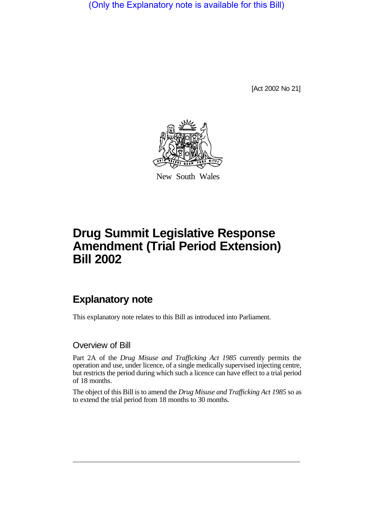(Only the Explanatory note is available for this Bill)

[Act 2002 No 21]



New South Wales

# **Drug Summit Legislative Response Amendment (Trial Period Extension) Bill 2002**

## **Explanatory note**

This explanatory note relates to this Bill as introduced into Parliament.

#### Overview of Bill

Part 2A of the *Drug Misuse and Trafficking Act 1985* currently permits the operation and use, under licence, of a single medically supervised injecting centre, but restricts the period during which such a licence can have effect to a trial period of 18 months.

The object of this Bill is to amend the *Drug Misuse and Trafficking Act 1985* so as to extend the trial period from 18 months to 30 months.